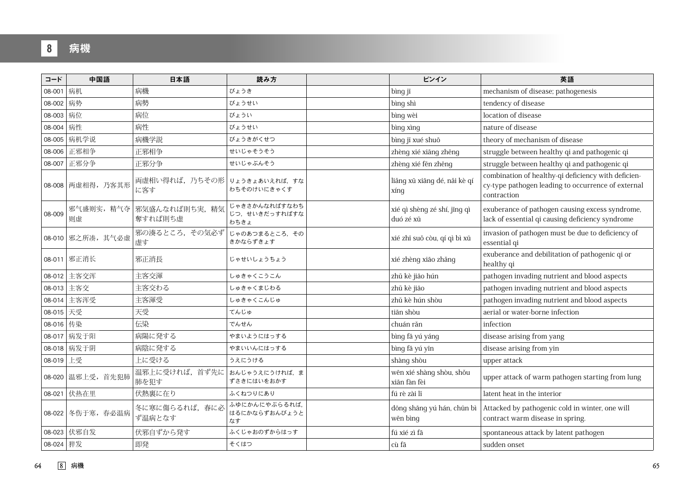8 病機

| コード        | 中国語               | 日本語                                  | 読み方                                    | ピンイン                                      | 英語                                                                                                                       |
|------------|-------------------|--------------------------------------|----------------------------------------|-------------------------------------------|--------------------------------------------------------------------------------------------------------------------------|
| 08-001     | 病机                | 病機                                   | びょうき                                   | bìng jī                                   | mechanism of disease; pathogenesis                                                                                       |
| 08-002 病势  |                   | 病勢                                   | びょうせい                                  | bìng shì                                  | tendency of disease                                                                                                      |
| 08-003 病位  |                   | 病位                                   | びょうい                                   | bìng wèi                                  | location of disease                                                                                                      |
| 08-004 病性  |                   | 病性                                   | びょうせい                                  | bìng xìng                                 | nature of disease                                                                                                        |
|            | 08-005 病机学说       | 病機学説                                 | びょうきがくせつ                               | bìng jī xué shuō                          | theory of mechanism of disease                                                                                           |
| 08-006     | 正邪相争              | 正邪相争                                 | せいじゃそうそう                               | zhèng xié xiāng zhēng                     | struggle between healthy qi and pathogenic qi                                                                            |
|            | 08-007 正邪分争       | 正邪分争                                 | せいじゃぶんそう                               | zhèng xié fēn zhēng                       | struggle between healthy qi and pathogenic qi                                                                            |
|            | 08-008 两虚相得, 乃客其形 | 両虚相い得れば、乃ちその形 りょうきょあいえれば、すな<br>に客す   | わちそのけいにきゃくす                            | liăng xū xiāng dé, năi kè qí<br>xínq      | combination of healthy-qi deficiency with deficien-<br>cy-type pathogen leading to occurrence of external<br>contraction |
| 08-009     | 则虚                | 邪气盛则实,精气夺   邪気盛んなれば則ち実,精気<br>奪すれば則ち虚 | じゃきさかんなればすなわち<br>じつ、せいきだっすればすな<br>わちきょ | xié qì shèng zé shí, jīng qì<br>duó zé xū | exuberance of pathogen causing excess syndrome,<br>lack of essential qi causing deficiency syndrome                      |
|            | 08-010 邪之所凑, 其气必虚 | 邪の湊るところ、その気必ず<br>虚す                  | じゃのあつまるところ、その<br>きかならずきょす              | xié zhī suǒ còu, qí qì bì xū              | invasion of pathogen must be due to deficiency of<br>essential qi                                                        |
|            | 08-011 邪正消长       | 邪正消長                                 | じゃせいしょうちょう                             | xié zhèng xião zhǎng                      | exuberance and debilitation of pathogenic qi or<br>healthy qi                                                            |
|            | 08-012 主客交浑       | 主客交渾                                 | しゅきゃくこうこん                              | zhǔ kè jiāo hún                           | pathogen invading nutrient and blood aspects                                                                             |
|            | 08-013 主客交        | 主客交わる                                | しゅきゃくまじわる                              | zhǔ kè jiāo                               | pathogen invading nutrient and blood aspects                                                                             |
|            | 08-014 主客浑受       | 主客渾受                                 | しゅきゃくこんじゅ                              | zhủ kè hún shòu                           | pathogen invading nutrient and blood aspects                                                                             |
| 08-015 天受  |                   | 天受                                   | てんじゅ                                   | tiān shòu                                 | aerial or water-borne infection                                                                                          |
| 08-016 传染  |                   | 伝染                                   | でんせん                                   | chuán răn                                 | infection                                                                                                                |
|            | 08-017 病发于阳       | 病陽に発する                               | やまいようにはっする                             | bìng fā yú yáng                           | disease arising from yang                                                                                                |
|            | 08-018 病发于阴       | 病陰に発する                               | やまいいんにはっする                             | bìng fā yú yīn                            | disease arising from yin                                                                                                 |
| $08 - 019$ | 上受                | 上に受ける                                | うえにうける                                 | shàng shòu                                | upper attack                                                                                                             |
|            | 08-020 温邪上受, 首先犯肺 | 温邪上に受ければ、首ず先に おんじゃうえにうければ、ま<br>肺を犯す  | ずさきにはいをおかす                             | wēn xié shàng shòu, shǒu<br>xiān fàn fèi  | upper attack of warm pathogen starting from lung                                                                         |
|            | 08-021 伏热在里       | 伏熱裏に在り                               | ふくねつりにあり                               | fú rè zài lǐ                              | latent heat in the interior                                                                                              |
|            | 08-022 冬伤于寒, 春必温病 | 冬に寒に傷らるれば、春に必<br>ず温病となす              | ふゆにかんにやぶらるれば,<br>はるにかならずおんびょうと<br>なす   | dōng shāng yú hán, chūn bì<br>wēn bìng    | Attacked by pathogenic cold in winter, one will<br>contract warm disease in spring.                                      |
|            | 08-023 伏邪自发       | 伏邪自ずから発す                             | ふくじゃおのずからはっす                           | fú xié zì fā                              | spontaneous attack by latent pathogen                                                                                    |
| 08-024 猝发  |                   | 即発                                   | そくはつ                                   | cù fā                                     | sudden onset                                                                                                             |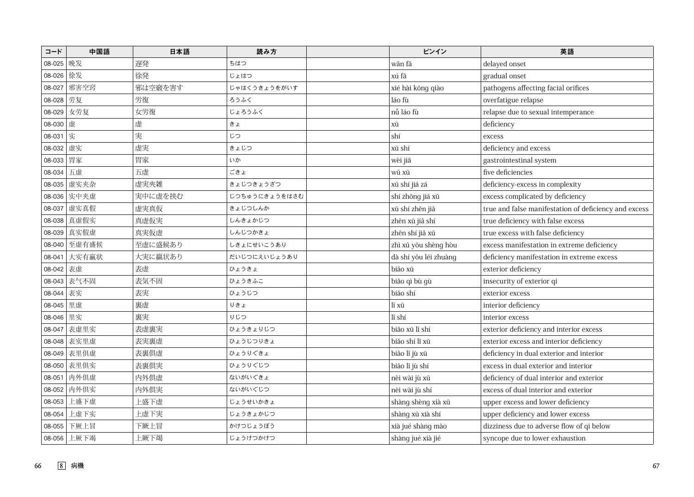| $\square -\mathsf{K}$ | 中国語          | 日本語     | 読み方           | ピンイン                  | 英語                                                    |
|-----------------------|--------------|---------|---------------|-----------------------|-------------------------------------------------------|
| 08-025 晚发             |              | 遅発      | ちはつ           | wǎn fā                | delayed onset                                         |
| 08-026                | 徐发           | 徐発      | じょはつ          | xú fā                 | gradual onset                                         |
| 08-027                | 邪害空窍         | 邪は空竅を害す | じゃはくうきょうをがいす  | xié hài kōng qiào     | pathogens affecting facial orifices                   |
| 08-028                | 劳复           | 労復      | ろうふく          | láo fù                | overfatigue relapse                                   |
| 08-029                | 女劳复          | 女労復     | じょろうふく        | nǚ láo fù             | relapse due to sexual intemperance                    |
| 08-030                | 虚            | 虚       | きょ            | xū                    | deficiency                                            |
| 08-031                | 实            | 実       | じつ            | shí                   | excess                                                |
| 08-032                | 虚实           | 虚実      | きょじつ          | xū shí                | deficiency and excess                                 |
| 08-033                | 胃家           | 胃家      | いか            | wèi jiā               | gastrointestinal system                               |
| 08-034                | 五虚           | 五虚      | ごきょ           | wǔ xū                 | five deficiencies                                     |
| 08-035                | 虚实夹杂         | 虚実夾雑    | きょじつきょうざつ     | xū shí jiá zá         | deficiency-excess in complexity                       |
| 08-036                | 实中夹虚         | 実中に虚を挟む | じつちゅうにきょうをはさむ | shí zhōng jiá xū      | excess complicated by deficiency                      |
| 08-037                | 虚实真假         | 虚実真仮    | きょじつしんか       | xū shí zhēn jiǎ       | true and false manifestation of deficiency and excess |
| 08-038                | 真虚假实         | 真虚仮実    | しんきょかじつ       | zhēn xū jiǎ shí       | true deficiency with false excess                     |
| 08-039                | 真实假虚         | 真実仮虚    | しんじつかきょ       | zhēn shí jiǎ xū       | true excess with false deficiency                     |
|                       | 08-040 至虚有盛候 | 至虚に盛候あり | しきょにせいこうあり    | zhì xū yǒu shèng hòu  | excess manifestation in extreme deficiency            |
| 08-041                | 大实有羸状        | 大実に羸状あり | だいじつにえいじょうあり  | dà shí yǒu léi zhuàng | deficiency manifestation in extreme excess            |
| 08-042                | 表虚           | 表虚      | ひょうきょ         | biăo xū               | exterior deficiency                                   |
| 08-043                | 表气不固         | 表気不固    | ひょうきふこ        | biăo qì bù gù         | insecurity of exterior qi                             |
| 08-044                | 表实           | 表実      | ひょうじつ         | biǎo shí              | exterior excess                                       |
| 08-045                | 里虚           | 裏虚      | りきょ           | li xū                 | interior deficiency                                   |
| 08-046                | 里实           | 裏実      | りじつ           | lí shí                | interior excess                                       |
| 08-047                | 表虚里实         | 表虚裏実    | ひょうきょりじつ      | biăo xū lǐ shí        | exterior deficiency and interior excess               |
| 08-048                | 表实里虚         | 表実裏虚    | ひょうじつりきょ      | biăo shí lǐ xū        | exterior excess and interior deficiency               |
|                       | 08-049 表里俱虚  | 表裏俱虚    | ひょうりぐきょ       | biăo li jù xū         | deficiency in dual exterior and interior              |
| 08-050                | 表里俱实         | 表裏俱実    | ひょうりぐじつ       | biăo lĩ jù shí        | excess in dual exterior and interior                  |
| 08-051                | 内外俱虚         | 内外俱虚    | ないがいぐきょ       | nèi wài jù xū         | deficiency of dual interior and exterior              |
| 08-052                | 内外俱实         | 内外俱実    | ないがいぐじつ       | nèi wài jù shí        | excess of dual interior and exterior                  |
| 08-053                | 上盛下虚         | 上盛下虚    | じょうせいかきょ      | shàng shèng xià xū    | upper excess and lower deficiency                     |
| 08-054                | 上虚下实         | 上虚下実    | じょうきょかじつ      | shàng xū xià shí      | upper deficiency and lower excess                     |
| 08-055                | 下厥上冒         | 下厥上冒    | かけつじょうぼう      | xià jué shàng mào     | dizziness due to adverse flow of qi below             |
| $08 - 056$            | 上厥下竭         | 上厥下竭    | じょうけつかけつ      | shàng jué xià jié     | syncope due to lower exhaustion                       |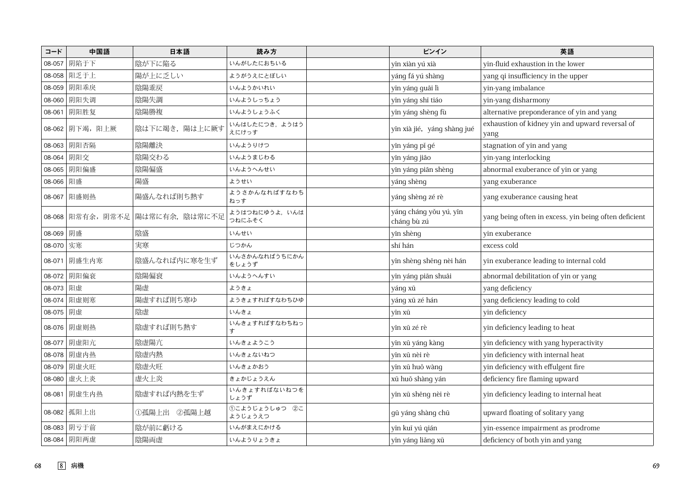| コード       | 中国語             | 日本語                                  | 読み方                      | ピンイン                                  | 英語                                                      |
|-----------|-----------------|--------------------------------------|--------------------------|---------------------------------------|---------------------------------------------------------|
| 08-057    | 阴陷于下            | 陰が下に陥る                               | いんがしたにおちいる               | yīn xiàn yú xià                       | yin-fluid exhaustion in the lower                       |
| 08-058    | 阳乏于上            | 陽が上に乏しい                              | ようがうえにとぼしい               | yáng fá yú shàng                      | yang qi insufficiency in the upper                      |
| 08-059    | 阴阳乖戾            | 陰陽乖戻                                 | いんようかいれい                 | yīn yáng guāi lì                      | yin-yang imbalance                                      |
| 08-060    | 阴阳失调            | 陰陽失調                                 | いんようしっちょう                | yīn yáng shī tiáo                     | yin-yang disharmony                                     |
| 08-061    | 阴阳胜复            | 陰陽勝複                                 | いんようしょうふく                | yīn yáng shèng fù                     | alternative preponderance of yin and yang               |
|           | 08-062 阴下竭, 阳上厥 | 陰は下に竭き、陽は上に厥す                        | いんはしたにつき、ようはう<br>えにけっす   | yīn xià jié, yáng shàng jué           | exhaustion of kidney yin and upward reversal of<br>yang |
| 08-063    | 阴阳否隔            | 陰陽離決                                 | いんようりけつ                  | yīn yáng pǐ gé                        | stagnation of yin and yang                              |
| 08-064    | 阴阳交             | 陰陽交わる                                | いんようまじわる                 | yīn yáng jiāo                         | yin-yang interlocking                                   |
| 08-065    | 阴阳偏盛            | 陰陽偏盛                                 | いんようへんせい                 | yīn yáng piān shèng                   | abnormal exuberance of yin or yang                      |
| 08-066    | 阳盛              | 陽盛                                   | ようせい                     | yáng shèng                            | yang exuberance                                         |
|           | 08-067 阳盛则热     | 陽盛んなれば則ち熱す                           | ようさかんなればすなわち<br>ねっす      | yáng shèng zé rè                      | yang exuberance causing heat                            |
|           |                 | 08-068   阳常有余, 阴常不足   陽は常に有余, 陰は常に不足 | ようはつねにゆうよ,いんは<br>つねにふそく  | yáng cháng yǒu yú, yīn<br>cháng bù zú | yang being often in excess, yin being often deficient   |
| 08-069    | 阴盛              | 陰盛                                   | いんせい                     | yīn shèng                             | yin exuberance                                          |
| 08-070 实寒 |                 | 実寒                                   | じつかん                     | shí hán                               | excess cold                                             |
| 08-071    | 阴盛生内寒           | 陰盛んなれば内に寒を生ず                         | いんさかんなればうちにかん<br>をしょうず   | yīn shèng shēng nèi hán               | yin exuberance leading to internal cold                 |
| 08-072    | 阴阳偏衰            | 陰陽偏衰                                 | いんようへんすい                 | yīn yáng piān shuāi                   | abnormal debilitation of yin or yang                    |
| 08-073 阳虚 |                 | 陽虚                                   | ようきょ                     | yáng xū                               | yang deficiency                                         |
| 08-074    | 阳虚则寒            | 陽虚すれば則ち寒ゆ                            | ようきょすればすなわちひゆ            | yáng xū zé hán                        | yang deficiency leading to cold                         |
| 08-075 阴虚 |                 | 陰虚                                   | いんきょ                     | yīn xū                                | yin deficiency                                          |
|           | 08-076 阴虚则热     | 陰虚すれば則ち熱す                            | いんきょすればすなわちねっ<br>す       | yīn xū zé rè                          | yin deficiency leading to heat                          |
| 08-077    | 阴虚阳亢            | 陰虚陽亢                                 | いんきょようこう                 | yīn xū yáng kàng                      | yin deficiency with yang hyperactivity                  |
| 08-078    | 阴虚内热            | 陰虚内熱                                 | いんきょないねつ                 | yīn xū nèi rè                         | yin deficiency with internal heat                       |
| 08-079    | 阴虚火旺            | 陰虚火旺                                 | いんきょかおう                  | yīn xū huǒ wàng                       | yin deficiency with effulgent fire                      |
| 08-080    | 虚火上炎            | 虚火上炎                                 | きょかじょうえん                 | xū huǒ shàng yán                      | deficiency fire flaming upward                          |
|           | 08-081 阴虚生内热    | 陰虚すれば内熱を生ず                           | いんきょすればないねつを<br>しょうず     | yīn xū shēng nèi rè                   | yin deficiency leading to internal heat                 |
|           | 08-082 孤阳上出     | ①孤陽上出 ②孤陽上越                          | ①こようじょうしゅつ ②こ<br>ようじょうえつ | gū yáng shàng chū                     | upward floating of solitary yang                        |
| 08-083    | 阴亏于前            | 陰が前に虧ける                              | いんがまえにかける                | yīn kuī yú qián                       | yin-essence impairment as prodrome                      |
|           | 08-084 阴阳两虚     | 陰陽両虚                                 | いんようりょうきょ                | yīn yáng liǎng xū                     | deficiency of both yin and yang                         |